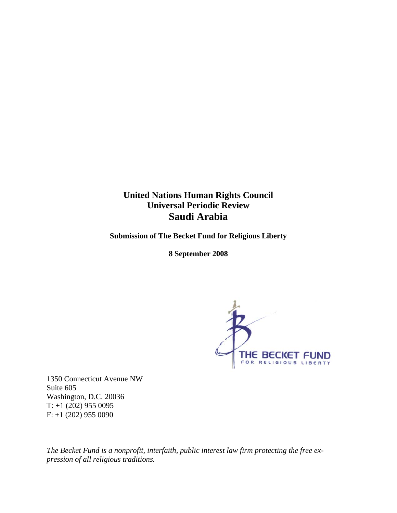# **United Nations Human Rights Council Universal Periodic Review Saudi Arabia**

**Submission of The Becket Fund for Religious Liberty** 

**8 September 2008** 



1350 Connecticut Avenue NW Suite 605 Washington, D.C. 20036 T: +1 (202) 955 0095 F: +1 (202) 955 0090

*The Becket Fund is a nonprofit, interfaith, public interest law firm protecting the free expression of all religious traditions.*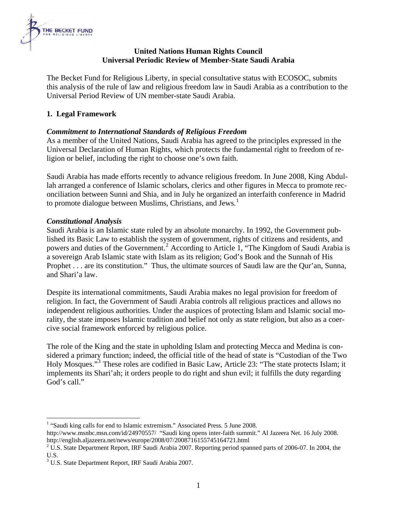

## **United Nations Human Rights Council Universal Periodic Review of Member-State Saudi Arabia**

The Becket Fund for Religious Liberty, in special consultative status with ECOSOC, submits this analysis of the rule of law and religious freedom law in Saudi Arabia as a contribution to the Universal Period Review of UN member-state Saudi Arabia.

# **1. Legal Framework**

# *Commitment to International Standards of Religious Freedom*

As a member of the United Nations, Saudi Arabia has agreed to the principles expressed in the Universal Declaration of Human Rights, which protects the fundamental right to freedom of religion or belief, including the right to choose one's own faith.

Saudi Arabia has made efforts recently to advance religious freedom. In June 2008, King Abdullah arranged a conference of Islamic scholars, clerics and other figures in Mecca to promote reconciliation between Sunni and Shia, and in July he organized an interfaith conference in Madrid to promote dialogue between Muslims, Christians, and Jews.<sup>[1](#page-1-0)</sup>

## *Constitutional Analysis*

Saudi Arabia is an Islamic state ruled by an absolute monarchy. In 1992, the Government published its Basic Law to establish the system of government, rights of citizens and residents, and powers and duties of the Government.<sup>[2](#page-1-1)</sup> According to Article 1, "The Kingdom of Saudi Arabia is a sovereign Arab Islamic state with Islam as its religion; God's Book and the Sunnah of His Prophet . . . are its constitution." Thus, the ultimate sources of Saudi law are the Qur'an, Sunna, and Shari'a law.

Despite its international commitments, Saudi Arabia makes no legal provision for freedom of religion. In fact, the Government of Saudi Arabia controls all religious practices and allows no independent religious authorities. Under the auspices of protecting Islam and Islamic social morality, the state imposes Islamic tradition and belief not only as state religion, but also as a coercive social framework enforced by religious police.

The role of the King and the state in upholding Islam and protecting Mecca and Medina is considered a primary function; indeed, the official title of the head of state is "Custodian of the Two Holy Mosques."<sup>[3](#page-1-2)</sup> These roles are codified in Basic Law, Article 23: "The state protects Islam; it implements its Shari'ah; it orders people to do right and shun evil; it fulfills the duty regarding God's call."

<sup>1</sup> <sup>1</sup> "Saudi king calls for end to Islamic extremism." Associated Press. 5 June 2008.

<span id="page-1-0"></span>http://www.msnbc.msn.com/id/24970557/ "Saudi king opens inter-faith summit." Al Jazeera Net. 16 July 2008. http://english.aljazeera.net/news/europe/2008/07/2008716155745164721.html 2

<span id="page-1-1"></span><sup>&</sup>lt;sup>2</sup> U.S. State Department Report, IRF Saudi Arabia 2007. Reporting period spanned parts of 2006-07. In 2004, the U.S.

<span id="page-1-2"></span><sup>&</sup>lt;sup>3</sup> U.S. State Department Report, IRF Saudi Arabia 2007.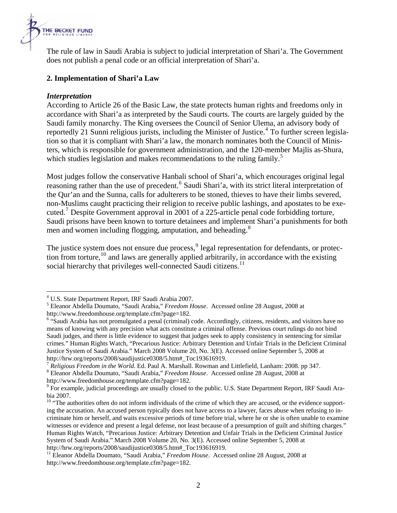

The rule of law in Saudi Arabia is subject to judicial interpretation of Shari'a. The Government does not publish a penal code or an official interpretation of Shari'a.

## **2. Implementation of Shari'a Law**

#### *Interpretation*

1

According to Article 26 of the Basic Law, the state protects human rights and freedoms only in accordance with Shari'a as interpreted by the Saudi courts. The courts are largely guided by the Saudi family monarchy. The King oversees the Council of Senior Ulema, an advisory body of reportedly 21 Sunni religious jurists, including the Minister of Justice.<sup>[4](#page-2-0)</sup> To further screen legislation so that it is compliant with Shari'a law, the monarch nominates both the Council of Ministers, which is responsible for government administration, and the 120-member Majlis as-Shura, which studies legislation and makes recommendations to the ruling family.<sup>[5](#page-2-1)</sup>

Most judges follow the conservative Hanbali school of Shari'a, which encourages original legal reasoning rather than the use of precedent.<sup>[6](#page-2-2)</sup> Saudi Shari'a, with its strict literal interpretation of the Qur'an and the Sunna, calls for adulterers to be stoned, thieves to have their limbs severed, non-Muslims caught practicing their religion to receive public lashings, and apostates to be exe-cuted.<sup>[7](#page-2-3)</sup> Despite Government approval in 2001 of a 225-article penal code forbidding torture, Saudi prisons have been known to torture detainees and implement Shari'a punishments for both men and women including flogging, amputation, and beheading.<sup>[8](#page-2-4)</sup>

The justice system does not ensure due process, <sup>[9](#page-2-5)</sup> legal representation for defendants, or protec-tion from torture,<sup>[10](#page-2-6)</sup> and laws are generally applied arbitrarily, in accordance with the existing social hierarchy that privileges well-connected Saudi citizens.<sup>[11](#page-2-7)</sup>

<sup>&</sup>lt;sup>4</sup> U.S. State Department Report, IRF Saudi Arabia 2007.

<span id="page-2-1"></span><span id="page-2-0"></span>Eleanor Abdella Doumato, "Saudi Arabia," *Freedom House*. Accessed online 28 August, 2008 at http://www.freedomhouse.org/template.cfm?page=182.

<span id="page-2-2"></span><sup>&</sup>lt;sup>6</sup> "Saudi Arabia has not promulgated a penal (criminal) code. Accordingly, citizens, residents, and visitors have no means of knowing with any precision what acts constitute a criminal offense. Previous court rulings do not bind Saudi judges, and there is little evidence to suggest that judges seek to apply consistency in sentencing for similar crimes." Human Rights Watch, "Precarious Justice: Arbitrary Detention and Unfair Trials in the Deficient Criminal Justice System of Saudi Arabia." March 2008 Volume 20, No. 3(E). Accessed online September 5, 2008 at http://hrw.org/reports/2008/saudijustice0308/5.htm#\_Toc193616919.

<span id="page-2-3"></span><sup>7</sup> *Religious Freedom in the World*. Ed. Paul A. Marshall. Rowman and Littlefield, Lanham: 2008. pp 347. 8

<span id="page-2-4"></span>Eleanor Abdella Doumato, "Saudi Arabia," *Freedom House*. Accessed online 28 August, 2008 at http://www.freedomhouse.org/template.cfm?page=182.

<span id="page-2-5"></span><sup>&</sup>lt;sup>9</sup> For example, judicial proceedings are usually closed to the public. U.S. State Department Report, IRF Saudi Arabia 2007.

<span id="page-2-6"></span><sup>&</sup>lt;sup>10</sup> "The authorities often do not inform individuals of the crime of which they are accused, or the evidence supporting the accusation. An accused person typically does not have access to a lawyer, faces abuse when refusing to incriminate him or herself, and waits excessive periods of time before trial, where he or she is often unable to examine witnesses or evidence and present a legal defense, not least because of a presumption of guilt and shifting charges." Human Rights Watch, "Precarious Justice: Arbitrary Detention and Unfair Trials in the Deficient Criminal Justice System of Saudi Arabia." March 2008 Volume 20, No. 3(E). Accessed online September 5, 2008 at http://hrw.org/reports/2008/saudijustice0308/5.htm#\_Toc193616919.

<span id="page-2-7"></span><sup>&</sup>lt;sup>11</sup> Eleanor Abdella Doumato, "Saudi Arabia," *Freedom House*. Accessed online 28 August, 2008 at http://www.freedomhouse.org/template.cfm?page=182.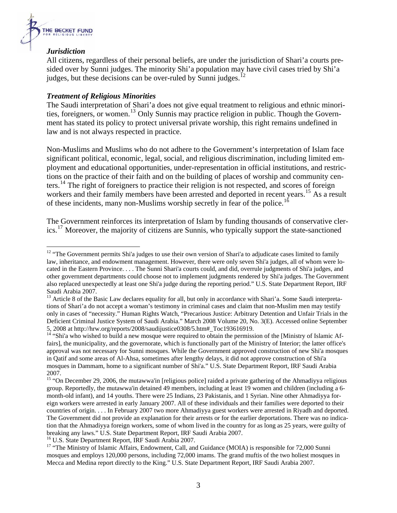

1

#### *Jurisdiction*

All citizens, regardless of their personal beliefs, are under the jurisdiction of Shari'a courts presided over by Sunni judges. The minority Shi'a population may have civil cases tried by Shi'a judges, but these decisions can be over-ruled by Sunni judges.<sup>[12](#page-3-0)</sup>

#### *Treatment of Religious Minorities*

The Saudi interpretation of Shari'a does not give equal treatment to religious and ethnic minori-ties, foreigners, or women.<sup>[13](#page-3-1)</sup> Only Sunnis may practice religion in public. Though the Government has stated its policy to protect universal private worship, this right remains undefined in law and is not always respected in practice.

Non-Muslims and Muslims who do not adhere to the Government's interpretation of Islam face significant political, economic, legal, social, and religious discrimination, including limited employment and educational opportunities, under-representation in official institutions, and restrictions on the practice of their faith and on the building of places of worship and community centers.[14](#page-3-2) The right of foreigners to practice their religion is not respected, and scores of foreign workers and their family members have been arrested and deported in recent years.<sup>[15](#page-3-3)</sup> As a result of these incidents, many non-Muslims worship secretly in fear of the police.<sup>[16](#page-3-4)</sup>

The Government reinforces its interpretation of Islam by funding thousands of conservative cler-ics.<sup>[17](#page-3-5)</sup> Moreover, the majority of citizens are Sunnis, who typically support the state-sanctioned

<span id="page-3-4"></span>

<span id="page-3-0"></span><sup>&</sup>lt;sup>12</sup> "The Government permits Shi'a judges to use their own version of Shari'a to adjudicate cases limited to family law, inheritance, and endowment management. However, there were only seven Shi'a judges, all of whom were located in the Eastern Province. . . . The Sunni Shari'a courts could, and did, overrule judgments of Shi'a judges, and other government departments could choose not to implement judgments rendered by Shi'a judges. The Government also replaced unexpectedly at least one Shi'a judge during the reporting period." U.S. State Department Report, IRF Saudi Arabia 2007.

<span id="page-3-1"></span><sup>&</sup>lt;sup>13</sup> Article 8 of the Basic Law declares equality for all, but only in accordance with Shari'a. Some Saudi interpretations of Shari'a do not accept a woman's testimony in criminal cases and claim that non-Muslim men may testify only in cases of "necessity." Human Rights Watch, "Precarious Justice: Arbitrary Detention and Unfair Trials in the Deficient Criminal Justice System of Saudi Arabia." March 2008 Volume 20, No. 3(E). Accessed online September 5, 2008 at http://hrw.org/reports/2008/saudijustice0308/5.htm#\_Toc193616919.

<span id="page-3-2"></span><sup>14 &</sup>quot;Shi'a who wished to build a new mosque were required to obtain the permission of the [Ministry of Islamic Affairs], the municipality, and the governorate, which is functionally part of the Ministry of Interior; the latter office's approval was not necessary for Sunni mosques. While the Government approved construction of new Shi'a mosques in Qatif and some areas of Al-Ahsa, sometimes after lengthy delays, it did not approve construction of Shi'a mosques in Dammam, home to a significant number of Shi'a." U.S. State Department Report, IRF Saudi Arabia 2007.

<span id="page-3-3"></span><sup>&</sup>lt;sup>15</sup> "On December 29, 2006, the mutawwa'in [religious police] raided a private gathering of the Ahmadiyya religious group. Reportedly, the mutawwa'in detained 49 members, including at least 19 women and children (including a 6 month-old infant), and 14 youths. There were 25 Indians, 23 Pakistanis, and 1 Syrian. Nine other Ahmadiyya foreign workers were arrested in early January 2007. All of these individuals and their families were deported to their countries of origin. . . . In February 2007 two more Ahmadiyya guest workers were arrested in Riyadh and deported. The Government did not provide an explanation for their arrests or for the earlier deportations. There was no indication that the Ahmadiyya foreign workers, some of whom lived in the country for as long as 25 years, were guilty of breaking any laws." U.S. State Department Report, IRF Saudi Arabia 2007.<br><sup>16</sup> U.S. State Department Report, IRF Saudi Arabia 2007.

<span id="page-3-5"></span><sup>&</sup>lt;sup>17</sup> "The Ministry of Islamic Affairs, Endowment, Call, and Guidance (MOIA) is responsible for 72,000 Sunni mosques and employs 120,000 persons, including 72,000 imams. The grand muftis of the two holiest mosques in Mecca and Medina report directly to the King." U.S. State Department Report, IRF Saudi Arabia 2007.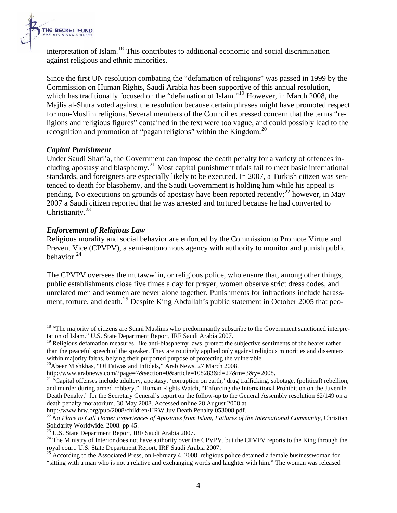

interpretation of Islam.<sup>[18](#page-4-0)</sup> This contributes to additional economic and social discrimination against religious and ethnic minorities.

Since the first UN resolution combating the "defamation of religions" was passed in 1999 by the Commission on Human Rights, Saudi Arabia has been supportive of this annual resolution, which has traditionally focused on the "defamation of Islam."<sup>[19](#page-4-1)</sup> However, in March 2008, the Majlis al-Shura voted against the resolution because certain phrases might have promoted respect for non-Muslim religions. Several members of the Council expressed concern that the terms "religions and religious figures" contained in the text were too vague, and could possibly lead to the recognition and promotion of "pagan religions" within the Kingdom.<sup>[20](#page-4-2)</sup>

#### *Capital Punishment*

1

Under Saudi Shari'a, the Government can impose the death penalty for a variety of offences including apostasy and blasphemy.[21](#page-4-3) Most capital punishment trials fail to meet basic international standards, and foreigners are especially likely to be executed. In 2007, a Turkish citizen was sentenced to death for blasphemy, and the Saudi Government is holding him while his appeal is pending. No executions on grounds of apostasy have been reported recently;  $^{22}$  $^{22}$  $^{22}$  however, in May 2007 a Saudi citizen reported that he was arrested and tortured because he had converted to Christianity.<sup>[23](#page-4-5)</sup>

#### *Enforcement of Religious Law*

Religious morality and social behavior are enforced by the Commission to Promote Virtue and Prevent Vice (CPVPV), a semi-autonomous agency with authority to monitor and punish public behavior.[24](#page-4-6)

The CPVPV oversees the mutaww'in, or religious police, who ensure that, among other things, public establishments close five times a day for prayer, women observe strict dress codes, and unrelated men and women are never alone together. Punishments for infractions include harass-ment, torture, and death.<sup>[25](#page-4-7)</sup> Despite King Abdullah's public statement in October 2005 that peo-

<span id="page-4-0"></span><sup>&</sup>lt;sup>18</sup> "The majority of citizens are Sunni Muslims who predominantly subscribe to the Government sanctioned interpretation of Islam." U.S. State Department Report, IRF Saudi Arabia 2007.

<span id="page-4-1"></span><sup>&</sup>lt;sup>19</sup> Religious defamation measures, like anti-blasphemy laws, protect the subjective sentiments of the hearer rather than the peaceful speech of the speaker. They are routinely applied only against religious minorities and dissenters within majority faiths, belying their purported purpose of protecting the vulnerable.

<span id="page-4-2"></span> $20$ Abeer Mishkhas, "Of Fatwas and Infidels," Arab News, 27 March 2008.

<span id="page-4-3"></span>http://www.arabnews.com/?page=7&section=0&article=108283&d=27&m=3&y=2008.<br><sup>21</sup> "Capital offenses include adultery, apostasy, 'corruption on earth,' drug trafficking, sabotage, (political) rebellion, and murder during armed robbery." Human Rights Watch, "Enforcing the International Prohibition on the Juvenile Death Penalty," for the Secretary General's report on the follow-up to the General Assembly resolution 62/149 on a death penalty moratorium. 30 May 2008. Accessed online 28 August 2008 at

<span id="page-4-4"></span>http://www.hrw.org/pub/2008/children/HRW.Juv.Death.Penalty.053008.pdf. 22 *No Place to Call Home: Experiences of Apostates from Islam, Failures of the International Community,* Christian Solidarity Worldwide. 2008. pp 45.<br><sup>23</sup> U.S. State Department Report, IRF Saudi Arabia 2007.

<span id="page-4-5"></span>

<span id="page-4-6"></span><sup>&</sup>lt;sup>24</sup> The Ministry of Interior does not have authority over the CPVPV, but the CPVPV reports to the King through the royal court. U.S. State Department Report, IRF Saudi Arabia 2007.

<span id="page-4-7"></span> $^{25}$  According to the Associated Press, on February 4, 2008, religious police detained a female businesswoman for "sitting with a man who is not a relative and exchanging words and laughter with him." The woman was released